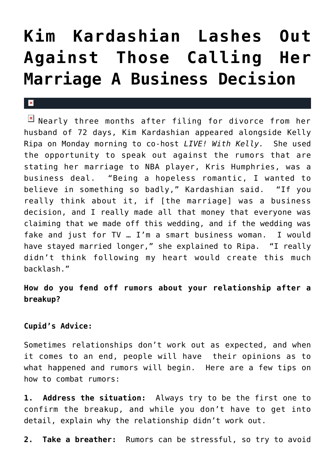## **[Kim Kardashian Lashes Out](https://cupidspulse.com/25937/kim-kardashian-addresses-rumors-marriage-to-kris-humphries-not-a-business-decision/) [Against Those Calling Her](https://cupidspulse.com/25937/kim-kardashian-addresses-rumors-marriage-to-kris-humphries-not-a-business-decision/) [Marriage A Business Decision](https://cupidspulse.com/25937/kim-kardashian-addresses-rumors-marriage-to-kris-humphries-not-a-business-decision/)**

## $\mathbf{R}$

 $N$  Nearly three months after filing for divorce from her husband of 72 days, Kim Kardashian appeared alongside Kelly Ripa on Monday morning to co-host *LIVE! With Kelly.* She used the opportunity to speak out against the rumors that are stating her marriage to NBA player, Kris Humphries, was a business deal. "Being a hopeless romantic, I wanted to believe in something so badly," Kardashian said. "If you really think about it, if [the marriage] was a business decision, and I really made all that money that everyone was claiming that we made off this wedding, and if the wedding was fake and just for TV … I'm a smart business woman. I would have stayed married longer," she explained to Ripa. "I really didn't think following my heart would create this much backlash."

## **How do you fend off rumors about your relationship after a breakup?**

## **Cupid's Advice:**

Sometimes relationships don't work out as expected, and when it comes to an end, people will have their opinions as to what happened and rumors will begin. Here are a few tips on how to combat rumors:

**1. Address the situation:** Always try to be the first one to confirm the breakup, and while you don't have to get into detail, explain why the relationship didn't work out.

**2. Take a breather:** Rumors can be stressful, so try to avoid